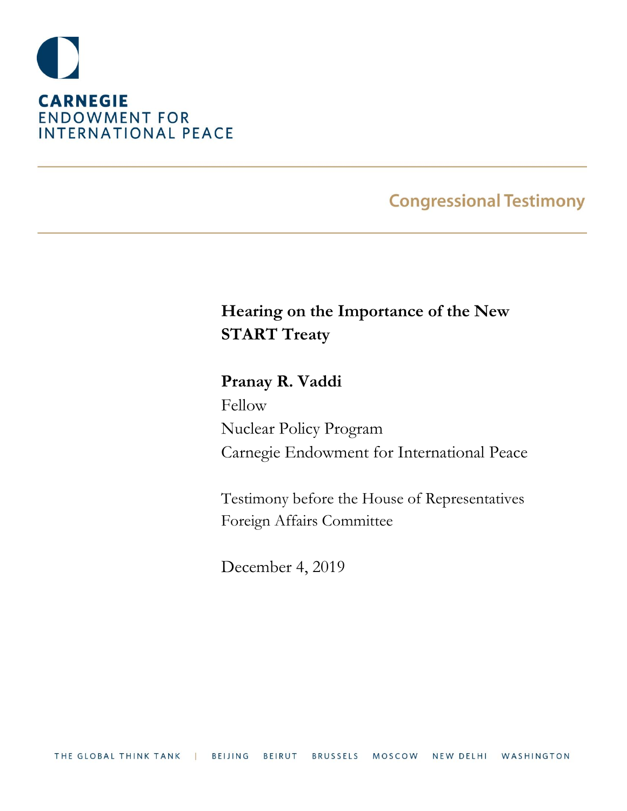

# **Congressional Testimony**

# **Hearing on the Importance of the New START Treaty**

**Pranay R. Vaddi** Fellow Nuclear Policy Program Carnegie Endowment for International Peace

Testimony before the House of Representatives Foreign Affairs Committee

December 4, 2019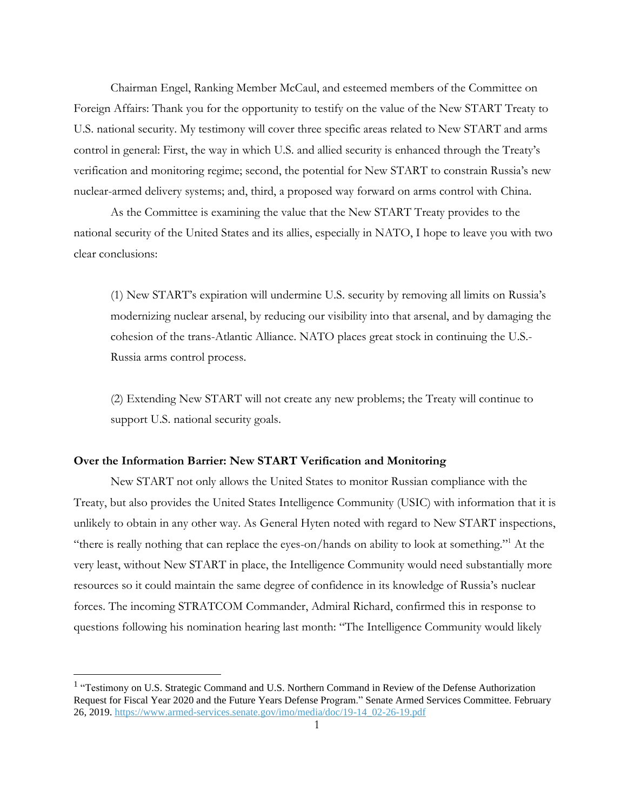Chairman Engel, Ranking Member McCaul, and esteemed members of the Committee on Foreign Affairs: Thank you for the opportunity to testify on the value of the New START Treaty to U.S. national security. My testimony will cover three specific areas related to New START and arms control in general: First, the way in which U.S. and allied security is enhanced through the Treaty's verification and monitoring regime; second, the potential for New START to constrain Russia's new nuclear-armed delivery systems; and, third, a proposed way forward on arms control with China.

As the Committee is examining the value that the New START Treaty provides to the national security of the United States and its allies, especially in NATO, I hope to leave you with two clear conclusions:

(1) New START's expiration will undermine U.S. security by removing all limits on Russia's modernizing nuclear arsenal, by reducing our visibility into that arsenal, and by damaging the cohesion of the trans-Atlantic Alliance. NATO places great stock in continuing the U.S.- Russia arms control process.

(2) Extending New START will not create any new problems; the Treaty will continue to support U.S. national security goals.

### **Over the Information Barrier: New START Verification and Monitoring**

New START not only allows the United States to monitor Russian compliance with the Treaty, but also provides the United States Intelligence Community (USIC) with information that it is unlikely to obtain in any other way. As General Hyten noted with regard to New START inspections, "there is really nothing that can replace the eyes-on/hands on ability to look at something."<sup>1</sup> At the very least, without New START in place, the Intelligence Community would need substantially more resources so it could maintain the same degree of confidence in its knowledge of Russia's nuclear forces. The incoming STRATCOM Commander, Admiral Richard, confirmed this in response to questions following his nomination hearing last month: "The Intelligence Community would likely

<sup>&</sup>lt;sup>1</sup> "Testimony on U.S. Strategic Command and U.S. Northern Command in Review of the Defense Authorization Request for Fiscal Year 2020 and the Future Years Defense Program." Senate Armed Services Committee. February 26, 2019. [https://www.armed-services.senate.gov/imo/media/doc/19-14\\_02-26-19.pdf](https://www.armed-services.senate.gov/imo/media/doc/19-14_02-26-19.pdf)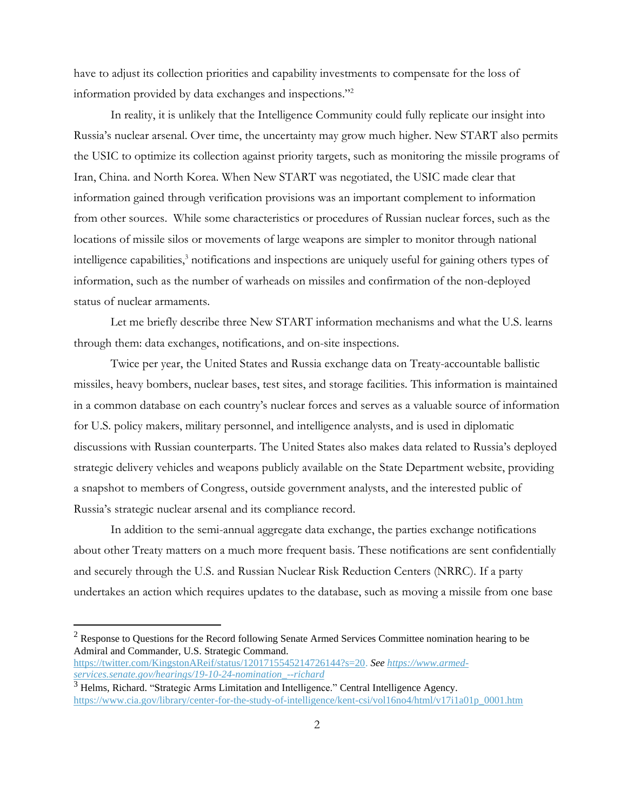have to adjust its collection priorities and capability investments to compensate for the loss of information provided by data exchanges and inspections."<sup>2</sup>

In reality, it is unlikely that the Intelligence Community could fully replicate our insight into Russia's nuclear arsenal. Over time, the uncertainty may grow much higher. New START also permits the USIC to optimize its collection against priority targets, such as monitoring the missile programs of Iran, China. and North Korea. When New START was negotiated, the USIC made clear that information gained through verification provisions was an important complement to information from other sources. While some characteristics or procedures of Russian nuclear forces, such as the locations of missile silos or movements of large weapons are simpler to monitor through national intelligence capabilities,<sup>3</sup> notifications and inspections are uniquely useful for gaining others types of information, such as the number of warheads on missiles and confirmation of the non-deployed status of nuclear armaments.

Let me briefly describe three New START information mechanisms and what the U.S. learns through them: data exchanges, notifications, and on-site inspections.

Twice per year, the United States and Russia exchange data on Treaty-accountable ballistic missiles, heavy bombers, nuclear bases, test sites, and storage facilities. This information is maintained in a common database on each country's nuclear forces and serves as a valuable source of information for U.S. policy makers, military personnel, and intelligence analysts, and is used in diplomatic discussions with Russian counterparts. The United States also makes data related to Russia's deployed strategic delivery vehicles and weapons publicly available on the State Department website, providing a snapshot to members of Congress, outside government analysts, and the interested public of Russia's strategic nuclear arsenal and its compliance record.

In addition to the semi-annual aggregate data exchange, the parties exchange notifications about other Treaty matters on a much more frequent basis. These notifications are sent confidentially and securely through the U.S. and Russian Nuclear Risk Reduction Centers (NRRC). If a party undertakes an action which requires updates to the database, such as moving a missile from one base

<sup>2</sup> Response to Questions for the Record following Senate Armed Services Committee nomination hearing to be Admiral and Commander, U.S. Strategic Command.

[https://twitter.com/KingstonAReif/status/1201715545214726144?s=20.](https://twitter.com/KingstonAReif/status/1201715545214726144?s=20) *See [https://www.armed](https://www.armed-services.senate.gov/hearings/19-10-24-nomination_--richard)[services.senate.gov/hearings/19-10-24-nomination\\_--richard](https://www.armed-services.senate.gov/hearings/19-10-24-nomination_--richard)*

<sup>&</sup>lt;sup>3</sup> Helms, Richard. "Strategic Arms Limitation and Intelligence." Central Intelligence Agency. [https://www.cia.gov/library/center-for-the-study-of-intelligence/kent-csi/vol16no4/html/v17i1a01p\\_0001.htm](https://www.cia.gov/library/center-for-the-study-of-intelligence/kent-csi/vol16no4/html/v17i1a01p_0001.htm)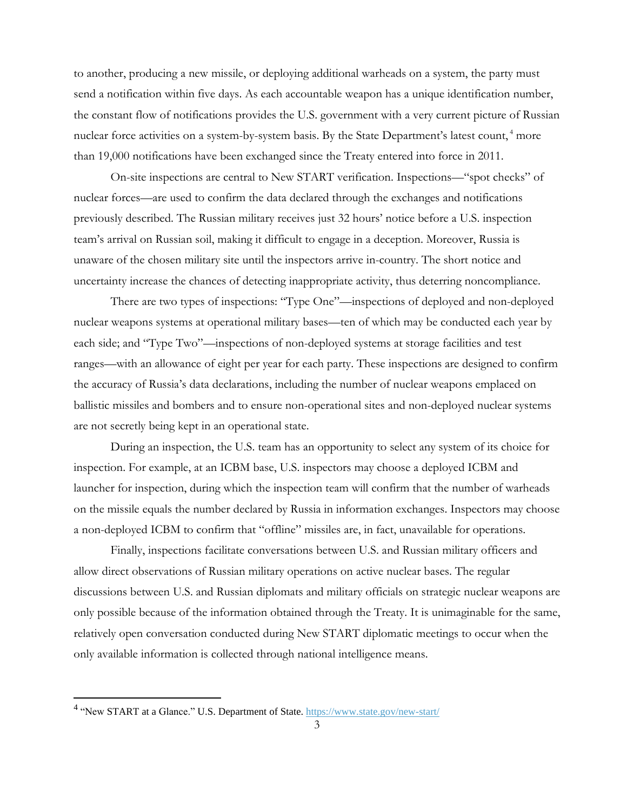to another, producing a new missile, or deploying additional warheads on a system, the party must send a notification within five days. As each accountable weapon has a unique identification number, the constant flow of notifications provides the U.S. government with a very current picture of Russian nuclear force activities on a system-by-system basis. By the State Department's latest count,<sup>4</sup> more than 19,000 notifications have been exchanged since the Treaty entered into force in 2011.

On-site inspections are central to New START verification. Inspections—"spot checks" of nuclear forces—are used to confirm the data declared through the exchanges and notifications previously described. The Russian military receives just 32 hours' notice before a U.S. inspection team's arrival on Russian soil, making it difficult to engage in a deception. Moreover, Russia is unaware of the chosen military site until the inspectors arrive in-country. The short notice and uncertainty increase the chances of detecting inappropriate activity, thus deterring noncompliance.

There are two types of inspections: "Type One"—inspections of deployed and non-deployed nuclear weapons systems at operational military bases—ten of which may be conducted each year by each side; and "Type Two"—inspections of non-deployed systems at storage facilities and test ranges—with an allowance of eight per year for each party. These inspections are designed to confirm the accuracy of Russia's data declarations, including the number of nuclear weapons emplaced on ballistic missiles and bombers and to ensure non-operational sites and non-deployed nuclear systems are not secretly being kept in an operational state.

During an inspection, the U.S. team has an opportunity to select any system of its choice for inspection. For example, at an ICBM base, U.S. inspectors may choose a deployed ICBM and launcher for inspection, during which the inspection team will confirm that the number of warheads on the missile equals the number declared by Russia in information exchanges. Inspectors may choose a non-deployed ICBM to confirm that "offline" missiles are, in fact, unavailable for operations.

Finally, inspections facilitate conversations between U.S. and Russian military officers and allow direct observations of Russian military operations on active nuclear bases. The regular discussions between U.S. and Russian diplomats and military officials on strategic nuclear weapons are only possible because of the information obtained through the Treaty. It is unimaginable for the same, relatively open conversation conducted during New START diplomatic meetings to occur when the only available information is collected through national intelligence means.

<sup>&</sup>lt;sup>4</sup> "New START at a Glance." U.S. Department of State. <https://www.state.gov/new-start/>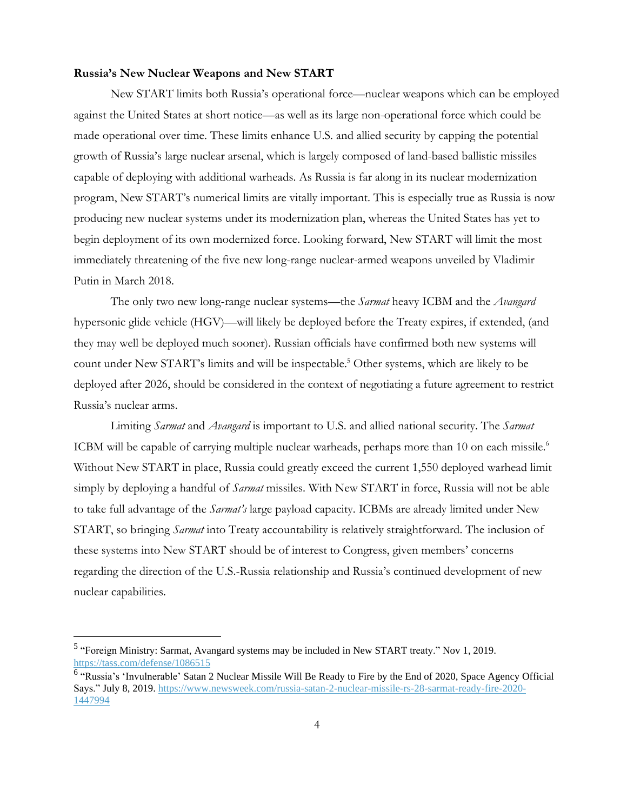# **Russia's New Nuclear Weapons and New START**

New START limits both Russia's operational force—nuclear weapons which can be employed against the United States at short notice—as well as its large non-operational force which could be made operational over time. These limits enhance U.S. and allied security by capping the potential growth of Russia's large nuclear arsenal, which is largely composed of land-based ballistic missiles capable of deploying with additional warheads. As Russia is far along in its nuclear modernization program, New START's numerical limits are vitally important. This is especially true as Russia is now producing new nuclear systems under its modernization plan, whereas the United States has yet to begin deployment of its own modernized force. Looking forward, New START will limit the most immediately threatening of the five new long-range nuclear-armed weapons unveiled by Vladimir Putin in March 2018.

The only two new long-range nuclear systems—the *Sarmat* heavy ICBM and the *Avangard* hypersonic glide vehicle (HGV)—will likely be deployed before the Treaty expires, if extended, (and they may well be deployed much sooner). Russian officials have confirmed both new systems will count under New START's limits and will be inspectable.<sup>5</sup> Other systems, which are likely to be deployed after 2026, should be considered in the context of negotiating a future agreement to restrict Russia's nuclear arms.

Limiting *Sarmat* and *Avangard* is important to U.S. and allied national security. The *Sarmat* ICBM will be capable of carrying multiple nuclear warheads, perhaps more than 10 on each missile.<sup>6</sup> Without New START in place, Russia could greatly exceed the current 1,550 deployed warhead limit simply by deploying a handful of *Sarmat* missiles. With New START in force, Russia will not be able to take full advantage of the *Sarmat's* large payload capacity. ICBMs are already limited under New START, so bringing *Sarmat* into Treaty accountability is relatively straightforward. The inclusion of these systems into New START should be of interest to Congress, given members' concerns regarding the direction of the U.S.-Russia relationship and Russia's continued development of new nuclear capabilities.

<sup>&</sup>lt;sup>5</sup> "Foreign Ministry: Sarmat, Avangard systems may be included in New START treaty." Nov 1, 2019. <https://tass.com/defense/1086515>

<sup>&</sup>lt;sup>6</sup> "Russia's 'Invulnerable' Satan 2 Nuclear Missile Will Be Ready to Fire by the End of 2020, Space Agency Official Says." July 8, 2019. [https://www.newsweek.com/russia-satan-2-nuclear-missile-rs-28-sarmat-ready-fire-2020-](https://www.newsweek.com/russia-satan-2-nuclear-missile-rs-28-sarmat-ready-fire-2020-1447994) [1447994](https://www.newsweek.com/russia-satan-2-nuclear-missile-rs-28-sarmat-ready-fire-2020-1447994)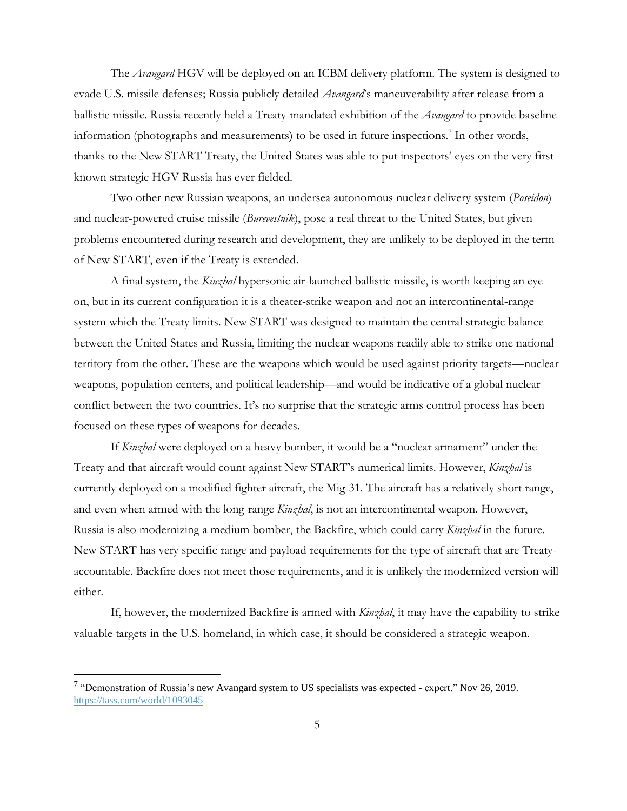The *Avangard* HGV will be deployed on an ICBM delivery platform. The system is designed to evade U.S. missile defenses; Russia publicly detailed *Avangard*'s maneuverability after release from a ballistic missile. Russia recently held a Treaty-mandated exhibition of the *Avangard* to provide baseline information (photographs and measurements) to be used in future inspections.<sup>7</sup> In other words, thanks to the New START Treaty, the United States was able to put inspectors' eyes on the very first known strategic HGV Russia has ever fielded.

Two other new Russian weapons, an undersea autonomous nuclear delivery system (*Poseidon*) and nuclear-powered cruise missile (*Burevestnik*), pose a real threat to the United States, but given problems encountered during research and development, they are unlikely to be deployed in the term of New START, even if the Treaty is extended.

A final system, the *Kinzhal* hypersonic air-launched ballistic missile, is worth keeping an eye on, but in its current configuration it is a theater-strike weapon and not an intercontinental-range system which the Treaty limits. New START was designed to maintain the central strategic balance between the United States and Russia, limiting the nuclear weapons readily able to strike one national territory from the other. These are the weapons which would be used against priority targets—nuclear weapons, population centers, and political leadership—and would be indicative of a global nuclear conflict between the two countries. It's no surprise that the strategic arms control process has been focused on these types of weapons for decades.

If *Kinzhal* were deployed on a heavy bomber, it would be a "nuclear armament" under the Treaty and that aircraft would count against New START's numerical limits. However, *Kinzhal* is currently deployed on a modified fighter aircraft, the Mig-31. The aircraft has a relatively short range, and even when armed with the long-range *Kinzhal*, is not an intercontinental weapon. However, Russia is also modernizing a medium bomber, the Backfire, which could carry *Kinzhal* in the future. New START has very specific range and payload requirements for the type of aircraft that are Treatyaccountable. Backfire does not meet those requirements, and it is unlikely the modernized version will either.

If, however, the modernized Backfire is armed with *Kinzhal*, it may have the capability to strike valuable targets in the U.S. homeland, in which case, it should be considered a strategic weapon.

<sup>&</sup>lt;sup>7</sup> "Demonstration of Russia's new Avangard system to US specialists was expected - expert." Nov 26, 2019. <https://tass.com/world/1093045>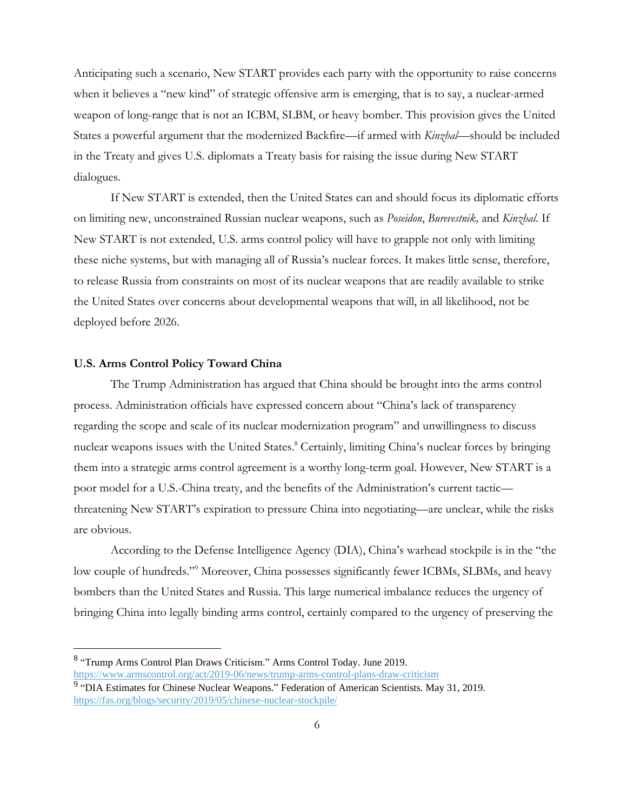Anticipating such a scenario, New START provides each party with the opportunity to raise concerns when it believes a "new kind" of strategic offensive arm is emerging, that is to say, a nuclear-armed weapon of long-range that is not an ICBM, SLBM, or heavy bomber. This provision gives the United States a powerful argument that the modernized Backfire—if armed with *Kinzhal*—should be included in the Treaty and gives U.S. diplomats a Treaty basis for raising the issue during New START dialogues.

If New START is extended, then the United States can and should focus its diplomatic efforts on limiting new, unconstrained Russian nuclear weapons, such as *Poseidon*, *Burevestnik,* and *Kinzhal*. If New START is not extended, U.S. arms control policy will have to grapple not only with limiting these niche systems, but with managing all of Russia's nuclear forces. It makes little sense, therefore, to release Russia from constraints on most of its nuclear weapons that are readily available to strike the United States over concerns about developmental weapons that will, in all likelihood, not be deployed before 2026.

### **U.S. Arms Control Policy Toward China**

The Trump Administration has argued that China should be brought into the arms control process. Administration officials have expressed concern about "China's lack of transparency regarding the scope and scale of its nuclear modernization program" and unwillingness to discuss nuclear weapons issues with the United States.<sup>8</sup> Certainly, limiting China's nuclear forces by bringing them into a strategic arms control agreement is a worthy long-term goal. However, New START is a poor model for a U.S.-China treaty, and the benefits of the Administration's current tactic threatening New START's expiration to pressure China into negotiating—are unclear, while the risks are obvious.

According to the Defense Intelligence Agency (DIA), China's warhead stockpile is in the "the low couple of hundreds."<sup>9</sup> Moreover, China possesses significantly fewer ICBMs, SLBMs, and heavy bombers than the United States and Russia. This large numerical imbalance reduces the urgency of bringing China into legally binding arms control, certainly compared to the urgency of preserving the

<sup>&</sup>lt;sup>8</sup> "Trump Arms Control Plan Draws Criticism." Arms Control Today. June 2019.

<https://www.armscontrol.org/act/2019-06/news/trump-arms-control-plans-draw-criticism>

<sup>&</sup>lt;sup>9</sup> "DIA Estimates for Chinese Nuclear Weapons." Federation of American Scientists. May 31, 2019. <https://fas.org/blogs/security/2019/05/chinese-nuclear-stockpile/>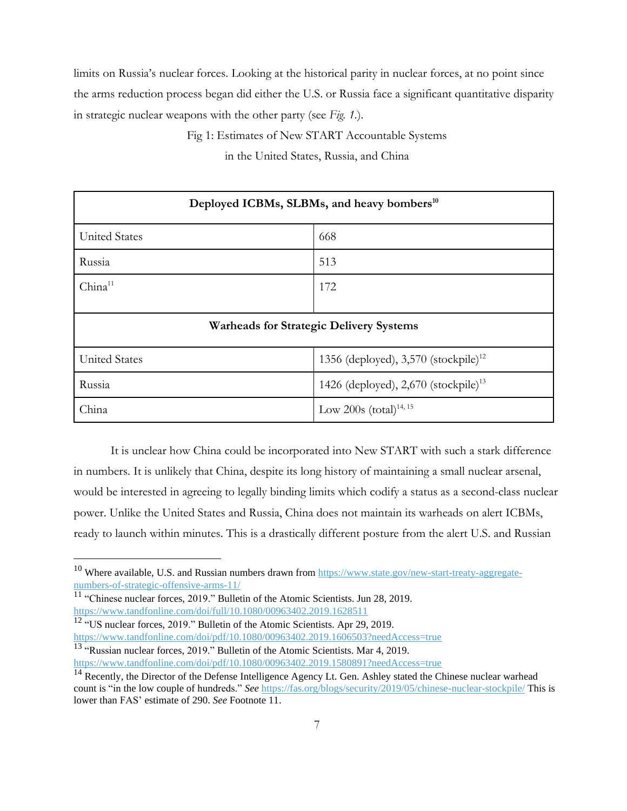limits on Russia's nuclear forces. Looking at the historical parity in nuclear forces, at no point since the arms reduction process began did either the U.S. or Russia face a significant quantitative disparity in strategic nuclear weapons with the other party (see *Fig. 1.*).

Fig 1: Estimates of New START Accountable Systems

in the United States, Russia, and China

| Deployed ICBMs, SLBMs, and heavy bombers <sup>10</sup> |                                                  |
|--------------------------------------------------------|--------------------------------------------------|
| <b>United States</b>                                   | 668                                              |
| Russia                                                 | 513                                              |
| China <sup>11</sup>                                    | 172                                              |
| <b>Warheads for Strategic Delivery Systems</b>         |                                                  |
| <b>United States</b>                                   | 1356 (deployed), 3,570 (stockpile) <sup>12</sup> |
| Russia                                                 | 1426 (deployed), 2,670 (stockpile) <sup>13</sup> |
| China                                                  | Low 200s $(total)^{14, 15}$                      |

It is unclear how China could be incorporated into New START with such a stark difference in numbers. It is unlikely that China, despite its long history of maintaining a small nuclear arsenal, would be interested in agreeing to legally binding limits which codify a status as a second-class nuclear power. Unlike the United States and Russia, China does not maintain its warheads on alert ICBMs, ready to launch within minutes. This is a drastically different posture from the alert U.S. and Russian

 $10$  Where available, U.S. and Russian numbers drawn from [https://www.state.gov/new-start-treaty-aggregate](https://www.state.gov/new-start-treaty-aggregate-numbers-of-strategic-offensive-arms-11/)[numbers-of-strategic-offensive-arms-11/](https://www.state.gov/new-start-treaty-aggregate-numbers-of-strategic-offensive-arms-11/)

<sup>&</sup>lt;sup>11</sup> "Chinese nuclear forces, 2019." Bulletin of the Atomic Scientists. Jun 28, 2019. <https://www.tandfonline.com/doi/full/10.1080/00963402.2019.1628511>

 $12$  "US nuclear forces, 2019." Bulletin of the Atomic Scientists. Apr 29, 2019. <https://www.tandfonline.com/doi/pdf/10.1080/00963402.2019.1606503?needAccess=true> <sup>13</sup> "Russian nuclear forces, 2019." Bulletin of the Atomic Scientists. Mar 4, 2019.

<https://www.tandfonline.com/doi/pdf/10.1080/00963402.2019.1580891?needAccess=true>

<sup>&</sup>lt;sup>14</sup> Recently, the Director of the Defense Intelligence Agency Lt. Gen. Ashley stated the Chinese nuclear warhead count is "in the low couple of hundreds." *See* <https://fas.org/blogs/security/2019/05/chinese-nuclear-stockpile/> This is lower than FAS' estimate of 290. *See* Footnote 11.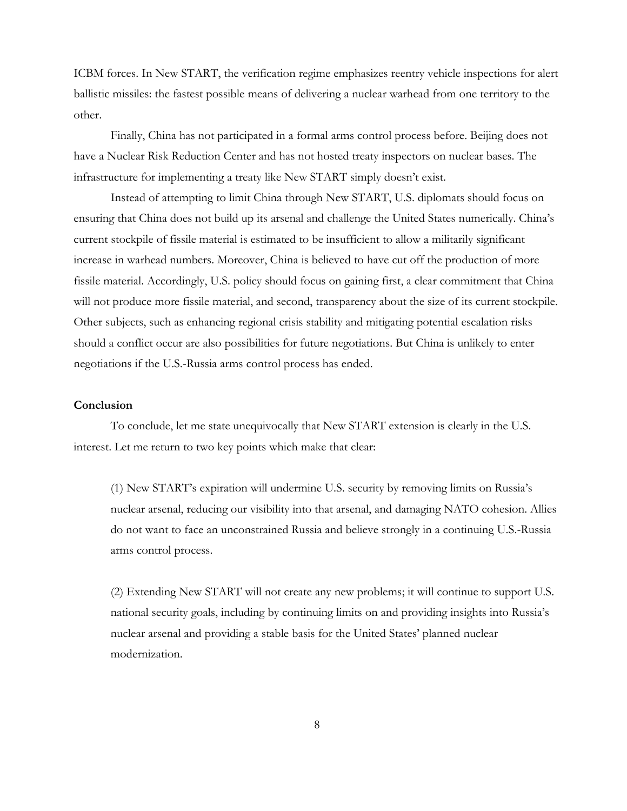ICBM forces. In New START, the verification regime emphasizes reentry vehicle inspections for alert ballistic missiles: the fastest possible means of delivering a nuclear warhead from one territory to the other.

Finally, China has not participated in a formal arms control process before. Beijing does not have a Nuclear Risk Reduction Center and has not hosted treaty inspectors on nuclear bases. The infrastructure for implementing a treaty like New START simply doesn't exist.

Instead of attempting to limit China through New START, U.S. diplomats should focus on ensuring that China does not build up its arsenal and challenge the United States numerically. China's current stockpile of fissile material is estimated to be insufficient to allow a militarily significant increase in warhead numbers. Moreover, China is believed to have cut off the production of more fissile material. Accordingly, U.S. policy should focus on gaining first, a clear commitment that China will not produce more fissile material, and second, transparency about the size of its current stockpile. Other subjects, such as enhancing regional crisis stability and mitigating potential escalation risks should a conflict occur are also possibilities for future negotiations. But China is unlikely to enter negotiations if the U.S.-Russia arms control process has ended.

## **Conclusion**

To conclude, let me state unequivocally that New START extension is clearly in the U.S. interest. Let me return to two key points which make that clear:

(1) New START's expiration will undermine U.S. security by removing limits on Russia's nuclear arsenal, reducing our visibility into that arsenal, and damaging NATO cohesion. Allies do not want to face an unconstrained Russia and believe strongly in a continuing U.S.-Russia arms control process.

(2) Extending New START will not create any new problems; it will continue to support U.S. national security goals, including by continuing limits on and providing insights into Russia's nuclear arsenal and providing a stable basis for the United States' planned nuclear modernization.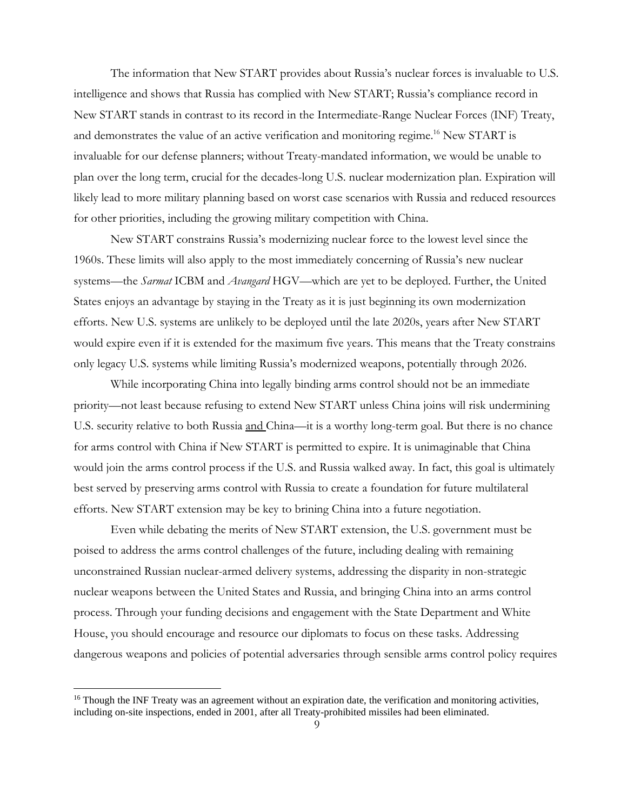The information that New START provides about Russia's nuclear forces is invaluable to U.S. intelligence and shows that Russia has complied with New START; Russia's compliance record in New START stands in contrast to its record in the Intermediate-Range Nuclear Forces (INF) Treaty, and demonstrates the value of an active verification and monitoring regime. <sup>16</sup> New START is invaluable for our defense planners; without Treaty-mandated information, we would be unable to plan over the long term, crucial for the decades-long U.S. nuclear modernization plan. Expiration will likely lead to more military planning based on worst case scenarios with Russia and reduced resources for other priorities, including the growing military competition with China.

New START constrains Russia's modernizing nuclear force to the lowest level since the 1960s. These limits will also apply to the most immediately concerning of Russia's new nuclear systems—the *Sarmat* ICBM and *Avangard* HGV—which are yet to be deployed. Further, the United States enjoys an advantage by staying in the Treaty as it is just beginning its own modernization efforts. New U.S. systems are unlikely to be deployed until the late 2020s, years after New START would expire even if it is extended for the maximum five years. This means that the Treaty constrains only legacy U.S. systems while limiting Russia's modernized weapons, potentially through 2026.

While incorporating China into legally binding arms control should not be an immediate priority—not least because refusing to extend New START unless China joins will risk undermining U.S. security relative to both Russia and China—it is a worthy long-term goal. But there is no chance for arms control with China if New START is permitted to expire. It is unimaginable that China would join the arms control process if the U.S. and Russia walked away. In fact, this goal is ultimately best served by preserving arms control with Russia to create a foundation for future multilateral efforts. New START extension may be key to brining China into a future negotiation.

Even while debating the merits of New START extension, the U.S. government must be poised to address the arms control challenges of the future, including dealing with remaining unconstrained Russian nuclear-armed delivery systems, addressing the disparity in non-strategic nuclear weapons between the United States and Russia, and bringing China into an arms control process. Through your funding decisions and engagement with the State Department and White House, you should encourage and resource our diplomats to focus on these tasks. Addressing dangerous weapons and policies of potential adversaries through sensible arms control policy requires

 $16$  Though the INF Treaty was an agreement without an expiration date, the verification and monitoring activities, including on-site inspections, ended in 2001, after all Treaty-prohibited missiles had been eliminated.